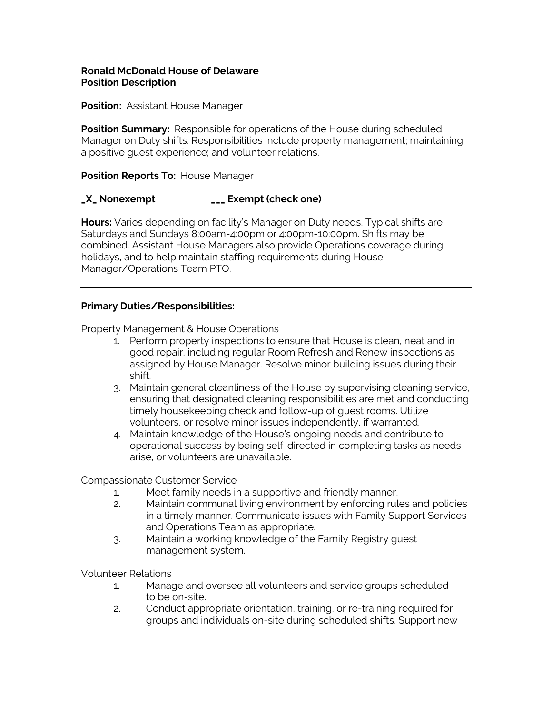#### **Ronald McDonald House of Delaware Position Description**

**Position: Assistant House Manager** 

**Position Summary:** Responsible for operations of the House during scheduled Manager on Duty shifts. Responsibilities include property management; maintaining a positive guest experience; and volunteer relations.

### **Position Reports To: House Manager**

## **\_X\_ Nonexempt \_\_\_ Exempt (check one)**

**Hours:** Varies depending on facility's Manager on Duty needs. Typical shifts are Saturdays and Sundays 8:00am-4:00pm or 4:00pm-10:00pm. Shifts may be combined. Assistant House Managers also provide Operations coverage during holidays, and to help maintain staffing requirements during House Manager/Operations Team PTO.

#### **Primary Duties/Responsibilities:**

Property Management & House Operations

- 1. Perform property inspections to ensure that House is clean, neat and in good repair, including regular Room Refresh and Renew inspections as assigned by House Manager. Resolve minor building issues during their shift.
- 3. Maintain general cleanliness of the House by supervising cleaning service, ensuring that designated cleaning responsibilities are met and conducting timely housekeeping check and follow-up of guest rooms. Utilize volunteers, or resolve minor issues independently, if warranted.
- 4. Maintain knowledge of the House's ongoing needs and contribute to operational success by being self-directed in completing tasks as needs arise, or volunteers are unavailable.

Compassionate Customer Service

- 1. Meet family needs in a supportive and friendly manner.
- 2. Maintain communal living environment by enforcing rules and policies in a timely manner. Communicate issues with Family Support Services and Operations Team as appropriate.
- 3. Maintain a working knowledge of the Family Registry guest management system.

Volunteer Relations

- 1. Manage and oversee all volunteers and service groups scheduled to be on-site.
- 2. Conduct appropriate orientation, training, or re-training required for groups and individuals on-site during scheduled shifts. Support new